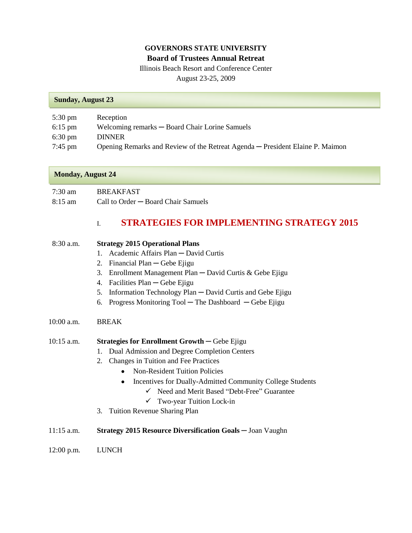## **GOVERNORS STATE UNIVERSITY Board of Trustees Annual Retreat**

Illinois Beach Resort and Conference Center August 23-25, 2009

#### **Sunday, August 23**

| $5:30 \text{ pm}$ | Reception                                                                     |
|-------------------|-------------------------------------------------------------------------------|
| $6:15$ pm         | Welcoming remarks — Board Chair Lorine Samuels                                |
| $6:30 \text{ pm}$ | <b>DINNER</b>                                                                 |
| 7:45 pm           | Opening Remarks and Review of the Retreat Agenda — President Elaine P. Maimon |

#### **Monday, August 24**

7:30 am BREAKFAST 8:15 am Call to Order ─ Board Chair Samuels

# I. **STRATEGIES FOR IMPLEMENTING STRATEGY 2015**

| $8:30$ a.m.  | <b>Strategy 2015 Operational Plans</b>                          |  |  |
|--------------|-----------------------------------------------------------------|--|--|
|              | Academic Affairs Plan - David Curtis<br>1.                      |  |  |
|              | Financial Plan — Gebe Ejigu<br>2.                               |  |  |
|              | Enrollment Management Plan $-$ David Curtis & Gebe Ejigu<br>3.  |  |  |
|              | Facilities Plan — Gebe Ejigu<br>4.                              |  |  |
|              | Information Technology Plan — David Curtis and Gebe Ejigu<br>5. |  |  |
|              | Progress Monitoring $Tool$ – The Dashboard – Gebe Ejigu<br>6.   |  |  |
| $10:00$ a.m. | <b>BREAK</b>                                                    |  |  |
| $10:15$ a.m. | <b>Strategies for Enrollment Growth</b> $-\text{Gebe Ejigu}$    |  |  |
|              | Dual Admission and Degree Completion Centers<br>1.              |  |  |
|              | Changes in Tuition and Fee Practices<br>2.                      |  |  |
|              | <b>Non-Resident Tuition Policies</b>                            |  |  |
|              | Incentives for Dually-Admitted Community College Students<br>٠  |  |  |
|              | $\checkmark$ Need and Merit Based "Debt-Free" Guarantee         |  |  |
|              | $\checkmark$ Two-year Tuition Lock-in                           |  |  |
|              | <b>Tuition Revenue Sharing Plan</b><br>3.                       |  |  |
|              |                                                                 |  |  |

- 11:15 a.m. **Strategy 2015 Resource Diversification Goals** ─ Joan Vaughn
- 12:00 p.m. LUNCH